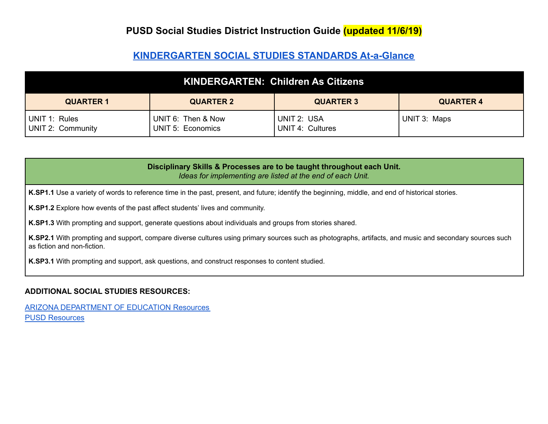#### **[KINDERGARTEN](https://cms.azed.gov/home/GetDocumentFile?id=5caf9fbd1dcb2511e88cfe40) SOCIAL STUDIES STANDARDS At-a-Glance**

| KINDERGARTEN: Children As Citizens                                           |                                         |                                 |              |  |
|------------------------------------------------------------------------------|-----------------------------------------|---------------------------------|--------------|--|
| <b>QUARTER 2</b><br><b>QUARTER 3</b><br><b>QUARTER 1</b><br><b>QUARTER 4</b> |                                         |                                 |              |  |
| UNIT 1: Rules<br>UNIT 2: Community                                           | UNIT 6: Then & Now<br>UNIT 5: Economics | UNIT 2: USA<br>UNIT 4: Cultures | UNIT 3: Maps |  |

| Disciplinary Skills & Processes are to be taught throughout each Unit.<br>Ideas for implementing are listed at the end of each Unit.                                                   |
|----------------------------------------------------------------------------------------------------------------------------------------------------------------------------------------|
| K.SP1.1 Use a variety of words to reference time in the past, present, and future; identify the beginning, middle, and end of historical stories.                                      |
| K.SP1.2 Explore how events of the past affect students' lives and community.                                                                                                           |
| K.SP1.3 With prompting and support, generate questions about individuals and groups from stories shared.                                                                               |
| K.SP2.1 With prompting and support, compare diverse cultures using primary sources such as photographs, artifacts, and music and secondary sources such<br>as fiction and non-fiction. |
| K.SP3.1 With prompting and support, ask questions, and construct responses to content studied.                                                                                         |

#### **ADDITIONAL SOCIAL STUDIES RESOURCES:**

ARIZONA [DEPARTMENT](https://cms.azed.gov/home/GetDocumentFile?id=5d5ac2b31dcb251098303305) OF EDUCATION Resources PUSD [Resources](https://docs.google.com/document/d/1k_8J_K6GjP3kcYIZ0urMN0Evn17gi0_TOdX-1vtMIf4/edit?usp=sharing)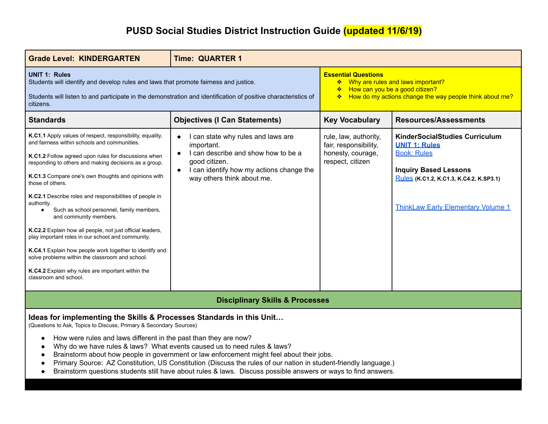| <b>Grade Level: KINDERGARTEN</b>                                                                                                                                                                                                                                                                                                                                                                                                                                                                                                                                                                                                                                                                                                                                                 | <b>Time: QUARTER 1</b>                                                                                                                                                                          |                                                                                                                                                                    |                                                                                                                                                                                                             |
|----------------------------------------------------------------------------------------------------------------------------------------------------------------------------------------------------------------------------------------------------------------------------------------------------------------------------------------------------------------------------------------------------------------------------------------------------------------------------------------------------------------------------------------------------------------------------------------------------------------------------------------------------------------------------------------------------------------------------------------------------------------------------------|-------------------------------------------------------------------------------------------------------------------------------------------------------------------------------------------------|--------------------------------------------------------------------------------------------------------------------------------------------------------------------|-------------------------------------------------------------------------------------------------------------------------------------------------------------------------------------------------------------|
| <b>UNIT 1: Rules</b><br>Students will identify and develop rules and laws that promote fairness and justice.<br>Students will listen to and participate in the demonstration and identification of positive characteristics of<br>citizens.                                                                                                                                                                                                                                                                                                                                                                                                                                                                                                                                      |                                                                                                                                                                                                 | <b>Essential Questions</b><br>❖ Why are rules and laws important?<br>← How can you be a good citizen?<br>* How do my actions change the way people think about me? |                                                                                                                                                                                                             |
| <b>Standards</b>                                                                                                                                                                                                                                                                                                                                                                                                                                                                                                                                                                                                                                                                                                                                                                 | <b>Objectives (I Can Statements)</b>                                                                                                                                                            | <b>Key Vocabulary</b>                                                                                                                                              | <b>Resources/Assessments</b>                                                                                                                                                                                |
| K.C1.1 Apply values of respect, responsibility, equality,<br>and fairness within schools and communities.<br>K.C1.2 Follow agreed upon rules for discussions when<br>responding to others and making decisions as a group.<br>K.C1.3 Compare one's own thoughts and opinions with<br>those of others.<br>K.C2.1 Describe roles and responsibilities of people in<br>authority.<br>Such as school personnel, family members,<br>$\bullet$<br>and community members.<br>K.C2.2 Explain how all people, not just official leaders,<br>play important roles in our school and community.<br>K.C4.1 Explain how people work together to identify and<br>solve problems within the classroom and school.<br>K.C4.2 Explain why rules are important within the<br>classroom and school. | I can state why rules and laws are<br>important.<br>I can describe and show how to be a<br>good citizen.<br>I can identify how my actions change the<br>$\bullet$<br>way others think about me. | rule, law, authority,<br>fair, responsibility,<br>honesty, courage,<br>respect, citizen                                                                            | <b>KinderSocialStudies Curriculum</b><br><b>UNIT 1: Rules</b><br><b>Book: Rules</b><br><b>Inquiry Based Lessons</b><br>Rules (K.C1.2, K.C1.3, K.C4.2, K.SP3.1)<br><b>ThinkLaw Early Elementary Volume 1</b> |
| <b>Disciplinary Skills &amp; Processes</b>                                                                                                                                                                                                                                                                                                                                                                                                                                                                                                                                                                                                                                                                                                                                       |                                                                                                                                                                                                 |                                                                                                                                                                    |                                                                                                                                                                                                             |
| Ideas for implementing the Skills & Processes Standards in this Unit<br>(Questions to Ask, Topics to Discuss, Primary & Secondary Sources)<br>How were rules and laws different in the past than they are now?<br>$\bullet$<br>Why do we have rules & laws? What events caused us to need rules & laws?<br>Brainstorm about how people in government or law enforcement might feel about their jobs.<br>Primary Source: AZ Constitution, US Constitution (Discuss the rules of our nation in student-friendly language.)<br>Brainstorm questions students still have about rules & laws. Discuss possible answers or ways to find answers.<br>$\bullet$                                                                                                                          |                                                                                                                                                                                                 |                                                                                                                                                                    |                                                                                                                                                                                                             |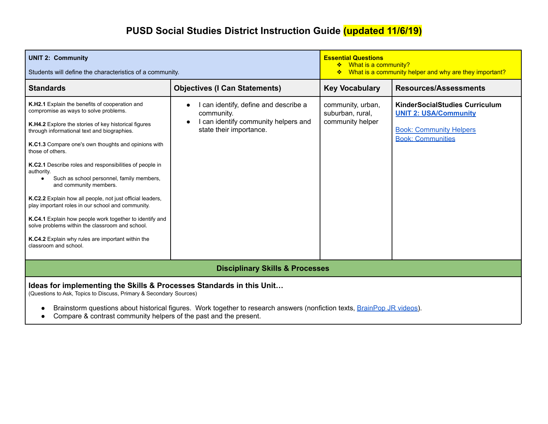| <b>UNIT 2: Community</b><br>Students will define the characteristics of a community.                                                                                                                                                                                                                                                                                                                                                                                                                                                                                                                                                                                                                                                    |                                                                                                                                 | <b>Essential Questions</b><br>❖ What is a community?<br>What is a community helper and why are they important?<br>❖ |                                                                                                                                     |
|-----------------------------------------------------------------------------------------------------------------------------------------------------------------------------------------------------------------------------------------------------------------------------------------------------------------------------------------------------------------------------------------------------------------------------------------------------------------------------------------------------------------------------------------------------------------------------------------------------------------------------------------------------------------------------------------------------------------------------------------|---------------------------------------------------------------------------------------------------------------------------------|---------------------------------------------------------------------------------------------------------------------|-------------------------------------------------------------------------------------------------------------------------------------|
| <b>Standards</b>                                                                                                                                                                                                                                                                                                                                                                                                                                                                                                                                                                                                                                                                                                                        | <b>Objectives (I Can Statements)</b>                                                                                            | <b>Key Vocabulary</b>                                                                                               | <b>Resources/Assessments</b>                                                                                                        |
| K.H2.1 Explain the benefits of cooperation and<br>compromise as ways to solve problems.<br>K.H4.2 Explore the stories of key historical figures<br>through informational text and biographies.<br>K.C1.3 Compare one's own thoughts and opinions with<br>those of others.<br>K.C2.1 Describe roles and responsibilities of people in<br>authority.<br>Such as school personnel, family members,<br>and community members.<br>K.C2.2 Explain how all people, not just official leaders,<br>play important roles in our school and community.<br>K.C4.1 Explain how people work together to identify and<br>solve problems within the classroom and school.<br>K.C4.2 Explain why rules are important within the<br>classroom and school. | can identify, define and describe a<br>community.<br>can identify community helpers and<br>$\bullet$<br>state their importance. | community, urban,<br>suburban, rural,<br>community helper                                                           | <b>KinderSocialStudies Curriculum</b><br><b>UNIT 2: USA/Community</b><br><b>Book: Community Helpers</b><br><b>Book: Communities</b> |
| <b>Disciplinary Skills &amp; Processes</b>                                                                                                                                                                                                                                                                                                                                                                                                                                                                                                                                                                                                                                                                                              |                                                                                                                                 |                                                                                                                     |                                                                                                                                     |
| Ideas for implementing the Skills & Processes Standards in this Unit<br>(Questions to Ask, Topics to Discuss, Primary & Secondary Sources)<br>Brainstorm questions about historical figures. Work together to research answers (nonfiction texts, BrainPop JR videos).                                                                                                                                                                                                                                                                                                                                                                                                                                                                  |                                                                                                                                 |                                                                                                                     |                                                                                                                                     |

● Compare & contrast community helpers of the past and the present.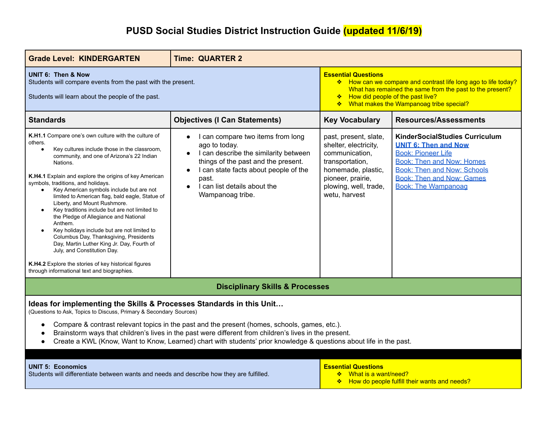| <b>Grade Level: KINDERGARTEN</b>                                                                                                                                                                                                                                                                                                                                                                                                                                                                                                                                                                                                                                                                                                                                                                                                               | <b>Time: QUARTER 2</b>                                                                                                                                                                                                                                                                       |                                                                                                                                                                                                                                                  |                                                                                                                                                                                                                                               |
|------------------------------------------------------------------------------------------------------------------------------------------------------------------------------------------------------------------------------------------------------------------------------------------------------------------------------------------------------------------------------------------------------------------------------------------------------------------------------------------------------------------------------------------------------------------------------------------------------------------------------------------------------------------------------------------------------------------------------------------------------------------------------------------------------------------------------------------------|----------------------------------------------------------------------------------------------------------------------------------------------------------------------------------------------------------------------------------------------------------------------------------------------|--------------------------------------------------------------------------------------------------------------------------------------------------------------------------------------------------------------------------------------------------|-----------------------------------------------------------------------------------------------------------------------------------------------------------------------------------------------------------------------------------------------|
| UNIT 6: Then & Now<br>Students will compare events from the past with the present.<br>Students will learn about the people of the past.                                                                                                                                                                                                                                                                                                                                                                                                                                                                                                                                                                                                                                                                                                        |                                                                                                                                                                                                                                                                                              | <b>Essential Questions</b><br>* How can we compare and contrast life long ago to life today?<br>What has remained the same from the past to the present?<br>How did people of the past live?<br>※ 1<br>❖ What makes the Wampanoag tribe special? |                                                                                                                                                                                                                                               |
| <b>Standards</b>                                                                                                                                                                                                                                                                                                                                                                                                                                                                                                                                                                                                                                                                                                                                                                                                                               | <b>Objectives (I Can Statements)</b>                                                                                                                                                                                                                                                         | <b>Key Vocabulary</b>                                                                                                                                                                                                                            | <b>Resources/Assessments</b>                                                                                                                                                                                                                  |
| <b>K.H1.1</b> Compare one's own culture with the culture of<br>others.<br>Key cultures include those in the classroom,<br>$\bullet$<br>community, and one of Arizona's 22 Indian<br>Nations.<br><b>K.H4.1</b> Explain and explore the origins of key American<br>symbols, traditions, and holidays.<br>Key American symbols include but are not<br>$\bullet$<br>limited to American flag, bald eagle, Statue of<br>Liberty, and Mount Rushmore.<br>Key traditions include but are not limited to<br>$\bullet$<br>the Pledge of Allegiance and National<br>Anthem.<br>Key holidays include but are not limited to<br>Columbus Day, Thanksgiving, Presidents<br>Day, Martin Luther King Jr. Day, Fourth of<br>July, and Constitution Day.<br>K.H4.2 Explore the stories of key historical figures<br>through informational text and biographies. | I can compare two items from long<br>$\bullet$<br>ago to today.<br>I can describe the similarity between<br>$\bullet$<br>things of the past and the present.<br>I can state facts about people of the<br>$\bullet$<br>past.<br>I can list details about the<br>$\bullet$<br>Wampanoag tribe. | past, present, slate,<br>shelter, electricity,<br>communication,<br>transportation,<br>homemade, plastic,<br>pioneer, prairie,<br>plowing, well, trade,<br>wetu, harvest                                                                         | <b>KinderSocialStudies Curriculum</b><br><b>UNIT 6: Then and Now</b><br><b>Book: Pioneer Life</b><br><b>Book: Then and Now: Homes</b><br><b>Book: Then and Now: Schools</b><br><b>Book: Then and Now: Games</b><br><b>Book: The Wampanoag</b> |
|                                                                                                                                                                                                                                                                                                                                                                                                                                                                                                                                                                                                                                                                                                                                                                                                                                                | <b>Disciplinary Skills &amp; Processes</b>                                                                                                                                                                                                                                                   |                                                                                                                                                                                                                                                  |                                                                                                                                                                                                                                               |
| Ideas for implementing the Skills & Processes Standards in this Unit<br>(Questions to Ask, Topics to Discuss, Primary & Secondary Sources)                                                                                                                                                                                                                                                                                                                                                                                                                                                                                                                                                                                                                                                                                                     |                                                                                                                                                                                                                                                                                              |                                                                                                                                                                                                                                                  |                                                                                                                                                                                                                                               |
| Compare & contrast relevant topics in the past and the present (homes, schools, games, etc.).<br>Brainstorm ways that children's lives in the past were different from children's lives in the present.<br>Create a KWL (Know, Want to Know, Learned) chart with students' prior knowledge & questions about life in the past.                                                                                                                                                                                                                                                                                                                                                                                                                                                                                                                 |                                                                                                                                                                                                                                                                                              |                                                                                                                                                                                                                                                  |                                                                                                                                                                                                                                               |
| <b>Essential Questions</b><br><b>UNIT 5: Economics</b><br>❖ What is a want/need?<br>Students will differentiate between wants and needs and describe how they are fulfilled.<br>* How do people fulfill their wants and needs?                                                                                                                                                                                                                                                                                                                                                                                                                                                                                                                                                                                                                 |                                                                                                                                                                                                                                                                                              |                                                                                                                                                                                                                                                  |                                                                                                                                                                                                                                               |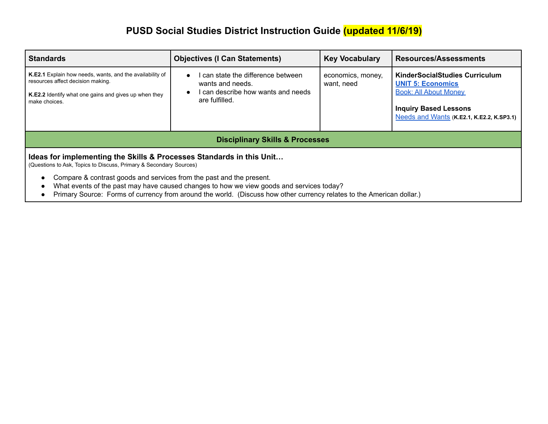| <b>Standards</b>                                                                                                                                                                                                                                                                                                                                                                                                                        | <b>Objectives (I Can Statements)</b>                                                                       | <b>Key Vocabulary</b>           | <b>Resources/Assessments</b>                                                                                                                                                           |
|-----------------------------------------------------------------------------------------------------------------------------------------------------------------------------------------------------------------------------------------------------------------------------------------------------------------------------------------------------------------------------------------------------------------------------------------|------------------------------------------------------------------------------------------------------------|---------------------------------|----------------------------------------------------------------------------------------------------------------------------------------------------------------------------------------|
| K.E2.1 Explain how needs, wants, and the availability of<br>resources affect decision making.<br><b>K.E2.2</b> Identify what one gains and gives up when they<br>make choices.                                                                                                                                                                                                                                                          | can state the difference between<br>wants and needs.<br>can describe how wants and needs<br>are fulfilled. | economics, money,<br>want, need | <b>KinderSocialStudies Curriculum</b><br><b>UNIT 5: Economics</b><br><b>Book: All About Money</b><br><b>Inquiry Based Lessons</b><br>Needs and Wants (K.E2.1, K.E2.2, K.SP3.1) $\vert$ |
|                                                                                                                                                                                                                                                                                                                                                                                                                                         | <b>Disciplinary Skills &amp; Processes</b>                                                                 |                                 |                                                                                                                                                                                        |
| Ideas for implementing the Skills & Processes Standards in this Unit<br>(Questions to Ask, Topics to Discuss, Primary & Secondary Sources)<br>Compare & contrast goods and services from the past and the present.<br>What events of the past may have caused changes to how we view goods and services today?<br>Primary Source: Forms of currency from around the world. (Discuss how other currency relates to the American dollar.) |                                                                                                            |                                 |                                                                                                                                                                                        |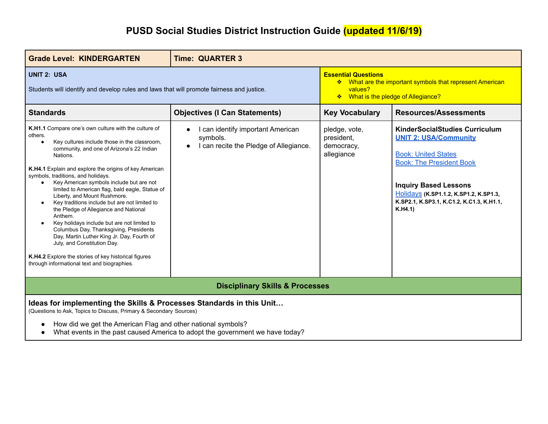| <b>Grade Level: KINDERGARTEN</b>                                                                                                                                                                                                                                                                                                                                                                                                                                                                                                                                                                                                                                                                                                                                                                       | <b>Time: QUARTER 3</b>                                                                                          |                                                                                                                                          |                                                                                                                                                                                                                                                                         |
|--------------------------------------------------------------------------------------------------------------------------------------------------------------------------------------------------------------------------------------------------------------------------------------------------------------------------------------------------------------------------------------------------------------------------------------------------------------------------------------------------------------------------------------------------------------------------------------------------------------------------------------------------------------------------------------------------------------------------------------------------------------------------------------------------------|-----------------------------------------------------------------------------------------------------------------|------------------------------------------------------------------------------------------------------------------------------------------|-------------------------------------------------------------------------------------------------------------------------------------------------------------------------------------------------------------------------------------------------------------------------|
| <b>UNIT 2: USA</b><br>Students will identify and develop rules and laws that will promote fairness and justice.                                                                                                                                                                                                                                                                                                                                                                                                                                                                                                                                                                                                                                                                                        |                                                                                                                 | <b>Essential Questions</b><br>❖ What are the important symbols that represent American<br>values?<br>❖ What is the pledge of Allegiance? |                                                                                                                                                                                                                                                                         |
| <b>Standards</b>                                                                                                                                                                                                                                                                                                                                                                                                                                                                                                                                                                                                                                                                                                                                                                                       | <b>Objectives (I Can Statements)</b>                                                                            | <b>Key Vocabulary</b>                                                                                                                    | <b>Resources/Assessments</b>                                                                                                                                                                                                                                            |
| K.H1.1 Compare one's own culture with the culture of<br>others.<br>Key cultures include those in the classroom,<br>community, and one of Arizona's 22 Indian<br>Nations.<br>K.H4.1 Explain and explore the origins of key American<br>symbols, traditions, and holidays.<br>Key American symbols include but are not<br>$\bullet$<br>limited to American flag, bald eagle, Statue of<br>Liberty, and Mount Rushmore.<br>Key traditions include but are not limited to<br>the Pledge of Allegiance and National<br>Anthem.<br>Key holidays include but are not limited to<br>Columbus Day, Thanksgiving, Presidents<br>Day, Martin Luther King Jr. Day, Fourth of<br>July, and Constitution Day.<br>K.H4.2 Explore the stories of key historical figures<br>through informational text and biographies. | can identify important American<br>$\bullet$<br>symbols.<br>I can recite the Pledge of Allegiance.<br>$\bullet$ | pledge, vote,<br>president,<br>democracy,<br>allegiance                                                                                  | <b>KinderSocialStudies Curriculum</b><br><b>UNIT 2: USA/Community</b><br><b>Book: United States</b><br><b>Book: The President Book</b><br><b>Inquiry Based Lessons</b><br>Holidays (K.SP1.1.2, K.SP1.2, K.SP1.3,<br>K.SP2.1, K.SP3.1, K.C1.2, K.C1.3, K.H1.1,<br>K.H4.1 |
| <b>Disciplinary Skills &amp; Processes</b>                                                                                                                                                                                                                                                                                                                                                                                                                                                                                                                                                                                                                                                                                                                                                             |                                                                                                                 |                                                                                                                                          |                                                                                                                                                                                                                                                                         |
| Ideas for implementing the Skills & Processes Standards in this Unit<br>(Questions to Ask, Topics to Discuss, Primary & Secondary Sources)<br>How did we get the American Flag and other national symbols?<br>What events in the past caused America to adopt the government we have today?                                                                                                                                                                                                                                                                                                                                                                                                                                                                                                            |                                                                                                                 |                                                                                                                                          |                                                                                                                                                                                                                                                                         |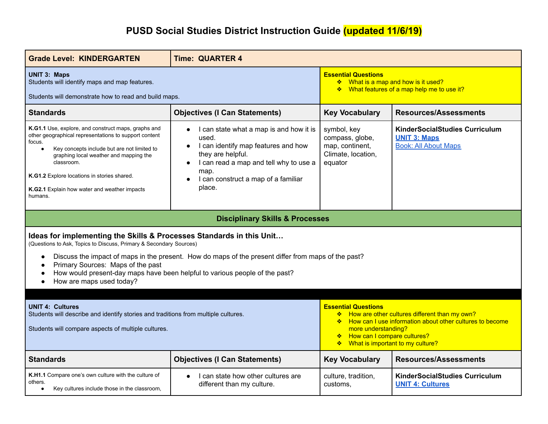| <b>Grade Level: KINDERGARTEN</b>                                                                                                                                                                                                                                                                                                                     | <b>Time: QUARTER 4</b>                                                                                                                                                                                                                                 |                                                                                                                                                                                                                                         |                                                                                             |
|------------------------------------------------------------------------------------------------------------------------------------------------------------------------------------------------------------------------------------------------------------------------------------------------------------------------------------------------------|--------------------------------------------------------------------------------------------------------------------------------------------------------------------------------------------------------------------------------------------------------|-----------------------------------------------------------------------------------------------------------------------------------------------------------------------------------------------------------------------------------------|---------------------------------------------------------------------------------------------|
| <b>UNIT 3: Maps</b><br>Students will identify maps and map features.<br>Students will demonstrate how to read and build maps.                                                                                                                                                                                                                        |                                                                                                                                                                                                                                                        | <b>Essential Questions</b><br>❖ What is a map and how is it used?<br>❖ What features of a map help me to use it?                                                                                                                        |                                                                                             |
| <b>Standards</b>                                                                                                                                                                                                                                                                                                                                     | <b>Objectives (I Can Statements)</b>                                                                                                                                                                                                                   | <b>Key Vocabulary</b>                                                                                                                                                                                                                   | <b>Resources/Assessments</b>                                                                |
| K.G1.1 Use, explore, and construct maps, graphs and<br>other geographical representations to support content<br>focus.<br>Key concepts include but are not limited to<br>$\bullet$<br>graphing local weather and mapping the<br>classroom.<br>K.G1.2 Explore locations in stories shared.<br>K.G2.1 Explain how water and weather impacts<br>humans. | I can state what a map is and how it is<br>$\bullet$<br>used.<br>I can identify map features and how<br>$\bullet$<br>they are helpful.<br>I can read a map and tell why to use a<br>$\bullet$<br>map.<br>I can construct a map of a familiar<br>place. | symbol, key<br>compass, globe,<br>map, continent,<br>Climate, location,<br>equator                                                                                                                                                      | <b>KinderSocialStudies Curriculum</b><br><b>UNIT 3: Maps</b><br><b>Book: All About Maps</b> |
| <b>Disciplinary Skills &amp; Processes</b>                                                                                                                                                                                                                                                                                                           |                                                                                                                                                                                                                                                        |                                                                                                                                                                                                                                         |                                                                                             |
| Ideas for implementing the Skills & Processes Standards in this Unit<br>(Questions to Ask, Topics to Discuss, Primary & Secondary Sources)                                                                                                                                                                                                           |                                                                                                                                                                                                                                                        |                                                                                                                                                                                                                                         |                                                                                             |
| Discuss the impact of maps in the present. How do maps of the present differ from maps of the past?<br>$\bullet$<br>Primary Sources: Maps of the past<br>How would present-day maps have been helpful to various people of the past?<br>How are maps used today?                                                                                     |                                                                                                                                                                                                                                                        |                                                                                                                                                                                                                                         |                                                                                             |
| <b>UNIT 4: Cultures</b><br>Students will describe and identify stories and traditions from multiple cultures.<br>Students will compare aspects of multiple cultures.                                                                                                                                                                                 |                                                                                                                                                                                                                                                        | <b>Essential Questions</b><br>* How are other cultures different than my own?<br>* How can I use information about other cultures to become<br>more understanding?<br>How can I compare cultures?<br>❖ What is important to my culture? |                                                                                             |
| <b>Standards</b>                                                                                                                                                                                                                                                                                                                                     | <b>Objectives (I Can Statements)</b>                                                                                                                                                                                                                   | <b>Key Vocabulary</b>                                                                                                                                                                                                                   | <b>Resources/Assessments</b>                                                                |
| K.H1.1 Compare one's own culture with the culture of<br>others.<br>Key cultures include those in the classroom,<br>$\bullet$                                                                                                                                                                                                                         | I can state how other cultures are<br>$\bullet$<br>different than my culture.                                                                                                                                                                          | culture, tradition,<br>customs,                                                                                                                                                                                                         | KinderSocialStudies Curriculum<br><b>UNIT 4: Cultures</b>                                   |